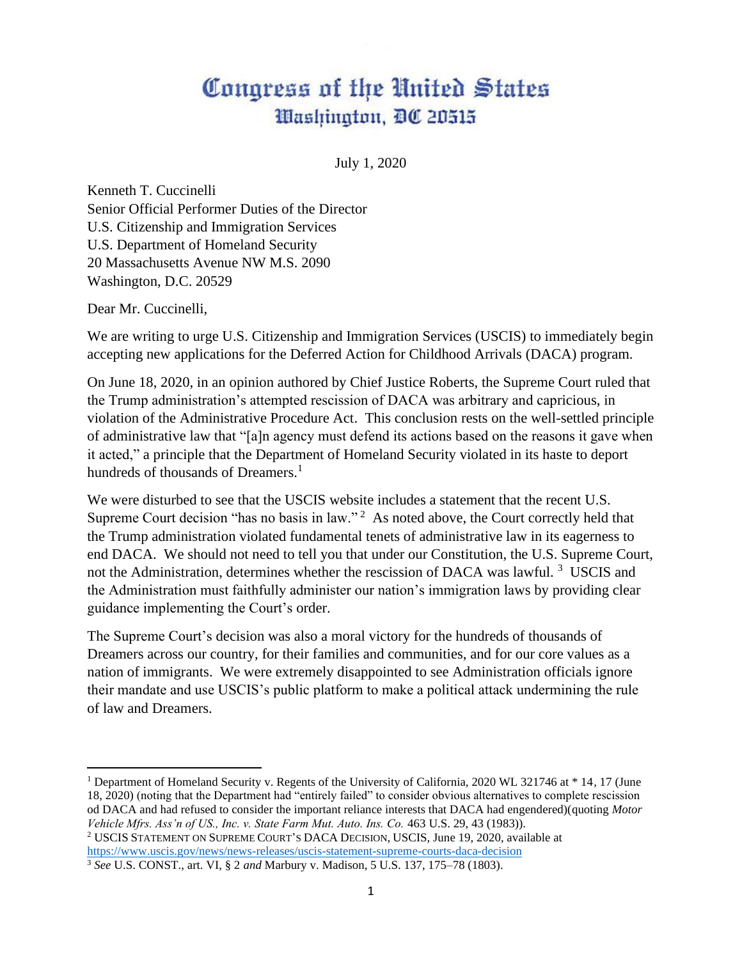## Congress of the United States Washington, DC 20515

July 1, 2020

Kenneth T. Cuccinelli Senior Official Performer Duties of the Director U.S. Citizenship and Immigration Services U.S. Department of Homeland Security 20 Massachusetts Avenue NW M.S. 2090 Washington, D.C. 20529

Dear Mr. Cuccinelli,

We are writing to urge U.S. Citizenship and Immigration Services (USCIS) to immediately begin accepting new applications for the Deferred Action for Childhood Arrivals (DACA) program.

On June 18, 2020, in an opinion authored by Chief Justice Roberts, the Supreme Court ruled that the Trump administration's attempted rescission of DACA was arbitrary and capricious, in violation of the Administrative Procedure Act. This conclusion rests on the well-settled principle of administrative law that "[a]n agency must defend its actions based on the reasons it gave when it acted," a principle that the Department of Homeland Security violated in its haste to deport hundreds of thousands of Dreamers.<sup>1</sup>

We were disturbed to see that the USCIS website includes a statement that the recent U.S. Supreme Court decision "has no basis in law."<sup>2</sup> As noted above, the Court correctly held that the Trump administration violated fundamental tenets of administrative law in its eagerness to end DACA. We should not need to tell you that under our Constitution, the U.S. Supreme Court, not the Administration, determines whether the rescission of DACA was lawful.<sup>3</sup> USCIS and the Administration must faithfully administer our nation's immigration laws by providing clear guidance implementing the Court's order.

The Supreme Court's decision was also a moral victory for the hundreds of thousands of Dreamers across our country, for their families and communities, and for our core values as a nation of immigrants. We were extremely disappointed to see Administration officials ignore their mandate and use USCIS's public platform to make a political attack undermining the rule of law and Dreamers.

<sup>2</sup> USCIS STATEMENT ON SUPREME COURT'S DACA DECISION, USCIS, June 19, 2020, available at <https://www.uscis.gov/news/news-releases/uscis-statement-supreme-courts-daca-decision>

<sup>&</sup>lt;sup>1</sup> Department of Homeland Security v. Regents of the University of California, 2020 WL 321746 at \* 14, 17 (June 18, 2020) (noting that the Department had "entirely failed" to consider obvious alternatives to complete rescission od DACA and had refused to consider the important reliance interests that DACA had engendered)(quoting *Motor Vehicle Mfrs. Ass'n of US., Inc. v. State Farm Mut. Auto. Ins. Co.* 463 U.S. 29, 43 (1983)).

<sup>3</sup> *See* U.S. CONST., art. VI, § 2 *and* Marbury v. Madison, 5 U.S. 137, 175–78 (1803).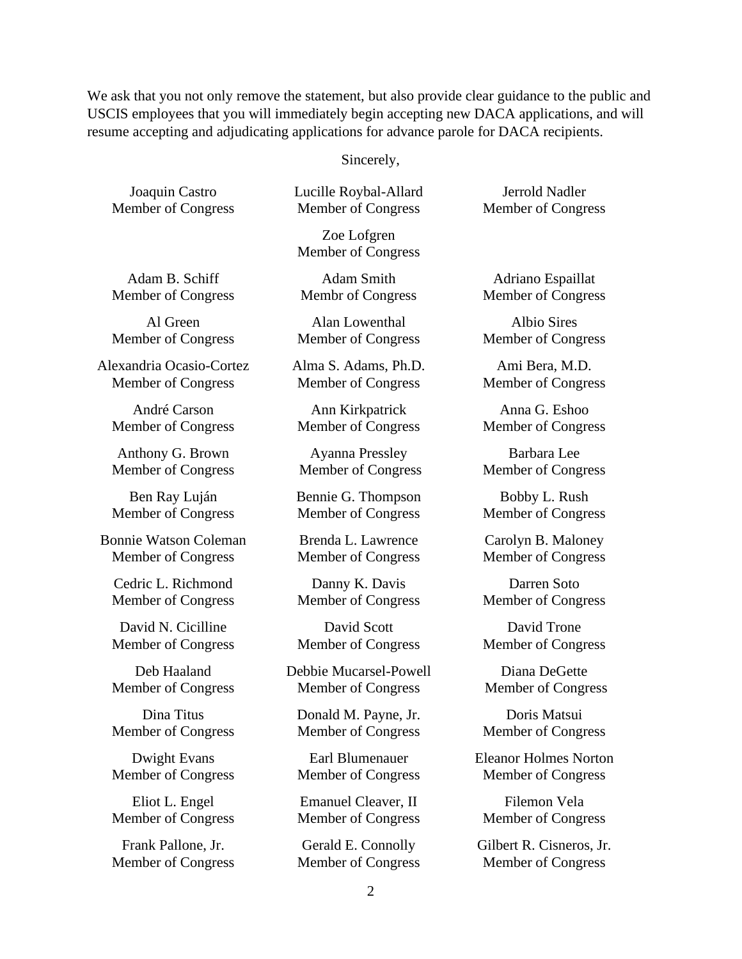We ask that you not only remove the statement, but also provide clear guidance to the public and USCIS employees that you will immediately begin accepting new DACA applications, and will resume accepting and adjudicating applications for advance parole for DACA recipients.

Sincerely,

Joaquin Castro Member of Congress Lucille Roybal-Allard Member of Congress

Zoe Lofgren Member of Congress

Adam B. Schiff Member of Congress

Al Green Member of Congress

Alexandria Ocasio-Cortez Member of Congress

André Carson Member of Congress

Anthony G. Brown Member of Congress

Ben Ray Luján Member of Congress

Bonnie Watson Coleman Member of Congress

Cedric L. Richmond Member of Congress

David N. Cicilline Member of Congress

Deb Haaland Member of Congress

Dina Titus Member of Congress

Dwight Evans Member of Congress

Eliot L. Engel Member of Congress

Frank Pallone, Jr. Member of Congress

Adam Smith Membr of Congress

Alan Lowenthal Member of Congress

Alma S. Adams, Ph.D. Member of Congress

Ann Kirkpatrick Member of Congress

Ayanna Pressley Member of Congress

Bennie G. Thompson Member of Congress

Brenda L. Lawrence Member of Congress

Danny K. Davis Member of Congress

David Scott Member of Congress

Debbie Mucarsel-Powell Member of Congress

Donald M. Payne, Jr. Member of Congress

Earl Blumenauer Member of Congress

Emanuel Cleaver, II Member of Congress

Gerald E. Connolly Member of Congress

Jerrold Nadler Member of Congress

Adriano Espaillat Member of Congress

Albio Sires Member of Congress

Ami Bera, M.D. Member of Congress

Anna G. Eshoo Member of Congress

Barbara Lee Member of Congress

Bobby L. Rush Member of Congress

Carolyn B. Maloney Member of Congress

Darren Soto Member of Congress

David Trone Member of Congress

Diana DeGette Member of Congress

Doris Matsui Member of Congress

Eleanor Holmes Norton Member of Congress

Filemon Vela Member of Congress

Gilbert R. Cisneros, Jr. Member of Congress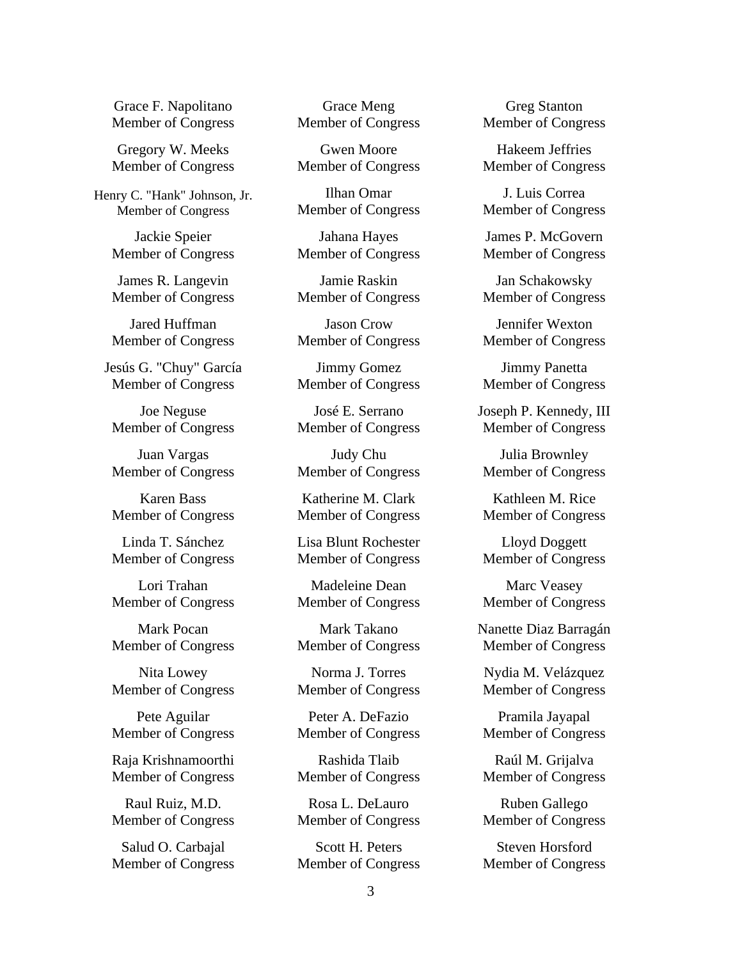Grace F. Napolitano Member of Congress

Gregory W. Meeks Member of Congress

Henry C. "Hank" Johnson, Jr. Member of Congress

> Jackie Speier Member of Congress

> James R. Langevin Member of Congress

> Jared Huffman Member of Congress

Jesús G. "Chuy" García Member of Congress

Joe Neguse Member of Congress

Juan Vargas Member of Congress

Karen Bass Member of Congress

Linda T. Sánchez Member of Congress

Lori Trahan Member of Congress

Mark Pocan Member of Congress

Nita Lowey Member of Congress

Pete Aguilar Member of Congress

Raja Krishnamoorthi Member of Congress

Raul Ruiz, M.D. Member of Congress

Salud O. Carbajal Member of Congress

Grace Meng Member of Congress

Gwen Moore Member of Congress

Ilhan Omar Member of Congress

Jahana Hayes Member of Congress

Jamie Raskin Member of Congress

Jason Crow Member of Congress

Jimmy Gomez Member of Congress

José E. Serrano Member of Congress

Judy Chu Member of Congress

Katherine M. Clark Member of Congress

Lisa Blunt Rochester Member of Congress

Madeleine Dean Member of Congress

Mark Takano Member of Congress

Norma J. Torres Member of Congress

Peter A. DeFazio Member of Congress

Rashida Tlaib Member of Congress

Rosa L. DeLauro Member of Congress

Scott H. Peters Member of Congress

Greg Stanton Member of Congress

Hakeem Jeffries Member of Congress

J. Luis Correa Member of Congress

James P. McGovern Member of Congress

Jan Schakowsky Member of Congress

Jennifer Wexton Member of Congress

Jimmy Panetta Member of Congress

Joseph P. Kennedy, III Member of Congress

Julia Brownley Member of Congress

Kathleen M. Rice Member of Congress

Lloyd Doggett Member of Congress

Marc Veasey Member of Congress

Nanette Diaz Barragán Member of Congress

Nydia M. Velázquez Member of Congress

Pramila Jayapal Member of Congress

Raúl M. Grijalva Member of Congress

Ruben Gallego Member of Congress

Steven Horsford Member of Congress